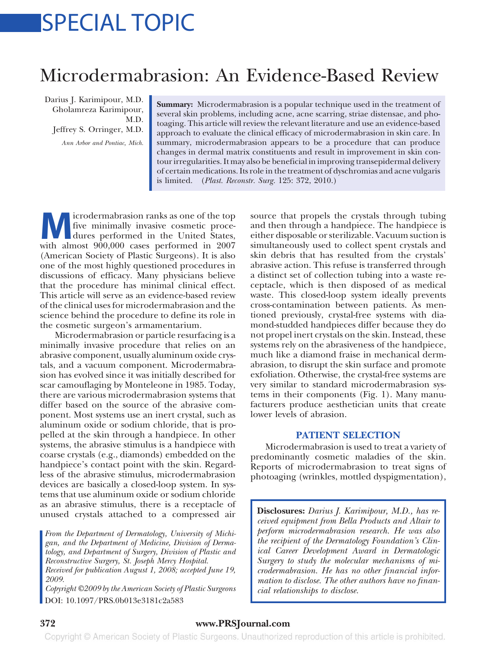# SPECIAL TOPIC

# Microdermabrasion: An Evidence-Based Review

Darius J. Karimipour, M.D. Gholamreza Karimipour, M.D. Jeffrey S. Orringer, M.D. *Ann Arbor and Pontiac, Mich.*

**Summary:** Microdermabrasion is a popular technique used in the treatment of several skin problems, including acne, acne scarring, striae distensae, and photoaging. This article will review the relevant literature and use an evidence-based approach to evaluate the clinical efficacy of microdermabrasion in skin care. In summary, microdermabrasion appears to be a procedure that can produce changes in dermal matrix constituents and result in improvement in skin contour irregularities. It may also be beneficial in improving transepidermal delivery of certain medications. Its role in the treatment of dyschromias and acne vulgaris is limited. (*Plast. Reconstr. Surg.* 125: 372, 2010.)

**M**<br>**M**icrodermabrasion ranks as one of the top<br>dures performed in the United States,<br>with almost 900.000 cases performed in 2007 five minimally invasive cosmetic procedures performed in the United States, with almost 900,000 cases performed in 2007 (American Society of Plastic Surgeons). It is also one of the most highly questioned procedures in discussions of efficacy. Many physicians believe that the procedure has minimal clinical effect. This article will serve as an evidence-based review of the clinical uses for microdermabrasion and the science behind the procedure to define its role in the cosmetic surgeon's armamentarium.

Microdermabrasion or particle resurfacing is a minimally invasive procedure that relies on an abrasive component, usually aluminum oxide crystals, and a vacuum component. Microdermabrasion has evolved since it was initially described for scar camouflaging by Monteleone in 1985. Today, there are various microdermabrasion systems that differ based on the source of the abrasive component. Most systems use an inert crystal, such as aluminum oxide or sodium chloride, that is propelled at the skin through a handpiece. In other systems, the abrasive stimulus is a handpiece with coarse crystals (e.g., diamonds) embedded on the handpiece's contact point with the skin. Regardless of the abrasive stimulus, microdermabrasion devices are basically a closed-loop system. In systems that use aluminum oxide or sodium chloride as an abrasive stimulus, there is a receptacle of unused crystals attached to a compressed air

*From the Department of Dermatology, University of Michigan, and the Department of Medicine, Division of Dermatology, and Department of Surgery, Division of Plastic and Reconstructive Surgery, St. Joseph Mercy Hospital. Received for publication August 1, 2008; accepted June 19, 2009.*

*Copyright ©2009 by the American Society of Plastic Surgeons* DOI: 10.1097/PRS.0b013e3181c2a583

source that propels the crystals through tubing and then through a handpiece. The handpiece is either disposable or sterilizable. Vacuum suction is simultaneously used to collect spent crystals and skin debris that has resulted from the crystals' abrasive action. This refuse is transferred through a distinct set of collection tubing into a waste receptacle, which is then disposed of as medical waste. This closed-loop system ideally prevents cross-contamination between patients. As mentioned previously, crystal-free systems with diamond-studded handpieces differ because they do not propel inert crystals on the skin. Instead, these systems rely on the abrasiveness of the handpiece, much like a diamond fraise in mechanical dermabrasion, to disrupt the skin surface and promote exfoliation. Otherwise, the crystal-free systems are very similar to standard microdermabrasion systems in their components (Fig. 1). Many manufacturers produce aesthetician units that create lower levels of abrasion.

#### **PATIENT SELECTION**

Microdermabrasion is used to treat a variety of predominantly cosmetic maladies of the skin. Reports of microdermabrasion to treat signs of photoaging (wrinkles, mottled dyspigmentation),

**Disclosures:** *Darius J. Karimipour, M.D., has received equipment from Bella Products and Altair to perform microdermabrasion research. He was also the recipient of the Dermatology Foundation's Clinical Career Development Award in Dermatologic Surgery to study the molecular mechanisms of microdermabrasion. He has no other financial information to disclose. The other authors have no financial relationships to disclose.*

#### **372 www.PRSJournal.com**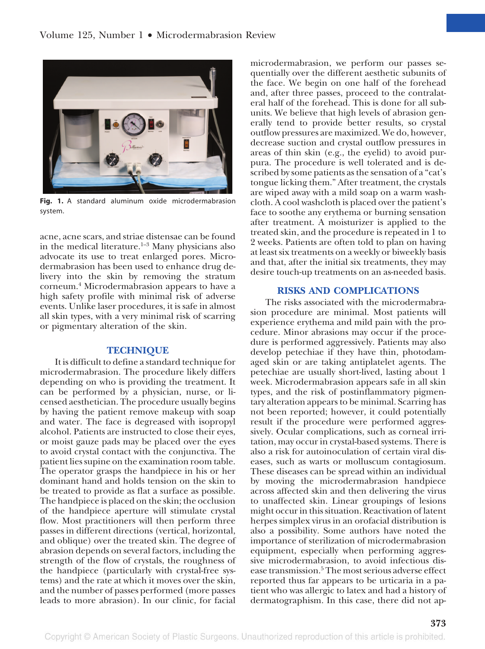

**Fig. 1.** A standard aluminum oxide microdermabrasion system.

acne, acne scars, and striae distensae can be found in the medical literature.<sup>1–3</sup> Many physicians also advocate its use to treat enlarged pores. Microdermabrasion has been used to enhance drug delivery into the skin by removing the stratum corneum.4 Microdermabrasion appears to have a high safety profile with minimal risk of adverse events. Unlike laser procedures, it is safe in almost all skin types, with a very minimal risk of scarring or pigmentary alteration of the skin.

#### **TECHNIQUE**

It is difficult to define a standard technique for microdermabrasion. The procedure likely differs depending on who is providing the treatment. It can be performed by a physician, nurse, or licensed aesthetician. The procedure usually begins by having the patient remove makeup with soap and water. The face is degreased with isopropyl alcohol. Patients are instructed to close their eyes, or moist gauze pads may be placed over the eyes to avoid crystal contact with the conjunctiva. The patient lies supine on the examination room table. The operator grasps the handpiece in his or her dominant hand and holds tension on the skin to be treated to provide as flat a surface as possible. The handpiece is placed on the skin; the occlusion of the handpiece aperture will stimulate crystal flow. Most practitioners will then perform three passes in different directions (vertical, horizontal, and oblique) over the treated skin. The degree of abrasion depends on several factors, including the strength of the flow of crystals, the roughness of the handpiece (particularly with crystal-free systems) and the rate at which it moves over the skin, and the number of passes performed (more passes leads to more abrasion). In our clinic, for facial

microdermabrasion, we perform our passes sequentially over the different aesthetic subunits of the face. We begin on one half of the forehead and, after three passes, proceed to the contralateral half of the forehead. This is done for all subunits. We believe that high levels of abrasion generally tend to provide better results, so crystal outflow pressures are maximized. We do, however, decrease suction and crystal outflow pressures in areas of thin skin (e.g., the eyelid) to avoid purpura. The procedure is well tolerated and is described by some patients as the sensation of a "cat's tongue licking them." After treatment, the crystals are wiped away with a mild soap on a warm washcloth. A cool washcloth is placed over the patient's face to soothe any erythema or burning sensation after treatment. A moisturizer is applied to the treated skin, and the procedure is repeated in 1 to 2 weeks. Patients are often told to plan on having at least six treatments on a weekly or biweekly basis and that, after the initial six treatments, they may desire touch-up treatments on an as-needed basis.

#### **RISKS AND COMPLICATIONS**

The risks associated with the microdermabrasion procedure are minimal. Most patients will experience erythema and mild pain with the procedure. Minor abrasions may occur if the procedure is performed aggressively. Patients may also develop petechiae if they have thin, photodamaged skin or are taking antiplatelet agents. The petechiae are usually short-lived, lasting about 1 week. Microdermabrasion appears safe in all skin types, and the risk of postinflammatory pigmentary alteration appears to be minimal. Scarring has not been reported; however, it could potentially result if the procedure were performed aggressively. Ocular complications, such as corneal irritation, may occur in crystal-based systems. There is also a risk for autoinoculation of certain viral diseases, such as warts or molluscum contagiosum. These diseases can be spread within an individual by moving the microdermabrasion handpiece across affected skin and then delivering the virus to unaffected skin. Linear groupings of lesions might occur in this situation. Reactivation of latent herpes simplex virus in an orofacial distribution is also a possibility. Some authors have noted the importance of sterilization of microdermabrasion equipment, especially when performing aggressive microdermabrasion, to avoid infectious disease transmission.<sup>5</sup> The most serious adverse effect reported thus far appears to be urticaria in a patient who was allergic to latex and had a history of dermatographism. In this case, there did not ap-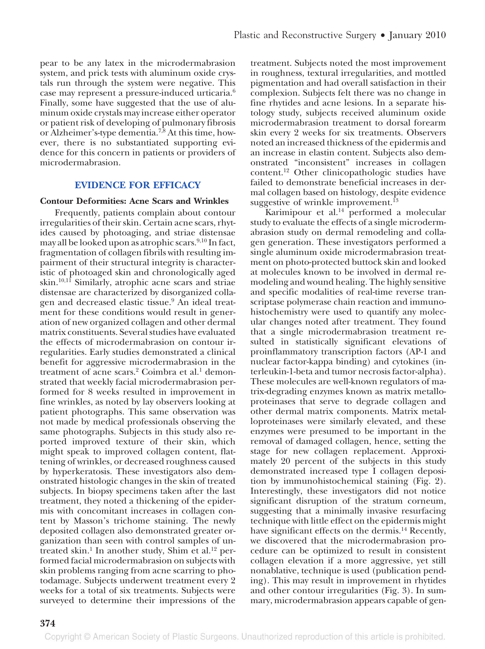pear to be any latex in the microdermabrasion system, and prick tests with aluminum oxide crystals run through the system were negative. This case may represent a pressure-induced urticaria.6 Finally, some have suggested that the use of aluminum oxide crystals may increase either operator or patient risk of developing of pulmonary fibrosis or Alzheimer's-type dementia.<sup>7,8</sup> At this time, however, there is no substantiated supporting evidence for this concern in patients or providers of microdermabrasion.

## **EVIDENCE FOR EFFICACY**

#### **Contour Deformities: Acne Scars and Wrinkles**

Frequently, patients complain about contour irregularities of their skin. Certain acne scars, rhytides caused by photoaging, and striae distensae may all be looked upon as atrophic scars.  $9,10$  In fact, fragmentation of collagen fibrils with resulting impairment of their structural integrity is characteristic of photoaged skin and chronologically aged skin.<sup>10,11</sup> Similarly, atrophic acne scars and striae distensae are characterized by disorganized collagen and decreased elastic tissue.9 An ideal treatment for these conditions would result in generation of new organized collagen and other dermal matrix constituents. Several studies have evaluated the effects of microdermabrasion on contour irregularities. Early studies demonstrated a clinical benefit for aggressive microdermabrasion in the treatment of acne scars.<sup>2</sup> Coimbra et al.<sup>1</sup> demonstrated that weekly facial microdermabrasion performed for 8 weeks resulted in improvement in fine wrinkles, as noted by lay observers looking at patient photographs. This same observation was not made by medical professionals observing the same photographs. Subjects in this study also reported improved texture of their skin, which might speak to improved collagen content, flattening of wrinkles, or decreased roughness caused by hyperkeratosis. These investigators also demonstrated histologic changes in the skin of treated subjects. In biopsy specimens taken after the last treatment, they noted a thickening of the epidermis with concomitant increases in collagen content by Masson's trichome staining. The newly deposited collagen also demonstrated greater organization than seen with control samples of untreated skin.<sup>1</sup> In another study, Shim et al.<sup>12</sup> performed facial microdermabrasion on subjects with skin problems ranging from acne scarring to photodamage. Subjects underwent treatment every 2 weeks for a total of six treatments. Subjects were surveyed to determine their impressions of the

treatment. Subjects noted the most improvement in roughness, textural irregularities, and mottled pigmentation and had overall satisfaction in their complexion. Subjects felt there was no change in fine rhytides and acne lesions. In a separate histology study, subjects received aluminum oxide microdermabrasion treatment to dorsal forearm skin every 2 weeks for six treatments. Observers noted an increased thickness of the epidermis and an increase in elastin content. Subjects also demonstrated "inconsistent" increases in collagen content.12 Other clinicopathologic studies have failed to demonstrate beneficial increases in dermal collagen based on histology, despite evidence suggestive of wrinkle improvement. $13$ 

Karimipour et al.14 performed a molecular study to evaluate the effects of a single microdermabrasion study on dermal remodeling and collagen generation. These investigators performed a single aluminum oxide microdermabrasion treatment on photo-protected buttock skin and looked at molecules known to be involved in dermal remodeling and wound healing. The highly sensitive and specific modalities of real-time reverse transcriptase polymerase chain reaction and immunohistochemistry were used to quantify any molecular changes noted after treatment. They found that a single microdermabrasion treatment resulted in statistically significant elevations of proinflammatory transcription factors (AP-1 and nuclear factor-kappa binding) and cytokines (interleukin-1-beta and tumor necrosis factor-alpha). These molecules are well-known regulators of matrix-degrading enzymes known as matrix metalloproteinases that serve to degrade collagen and other dermal matrix components. Matrix metalloproteinases were similarly elevated, and these enzymes were presumed to be important in the removal of damaged collagen, hence, setting the stage for new collagen replacement. Approximately 20 percent of the subjects in this study demonstrated increased type I collagen deposition by immunohistochemical staining (Fig. 2). Interestingly, these investigators did not notice significant disruption of the stratum corneum, suggesting that a minimally invasive resurfacing technique with little effect on the epidermis might have significant effects on the dermis.<sup>14</sup> Recently, we discovered that the microdermabrasion procedure can be optimized to result in consistent collagen elevation if a more aggressive, yet still nonablative, technique is used (publication pending). This may result in improvement in rhytides and other contour irregularities (Fig. 3). In summary, microdermabrasion appears capable of gen-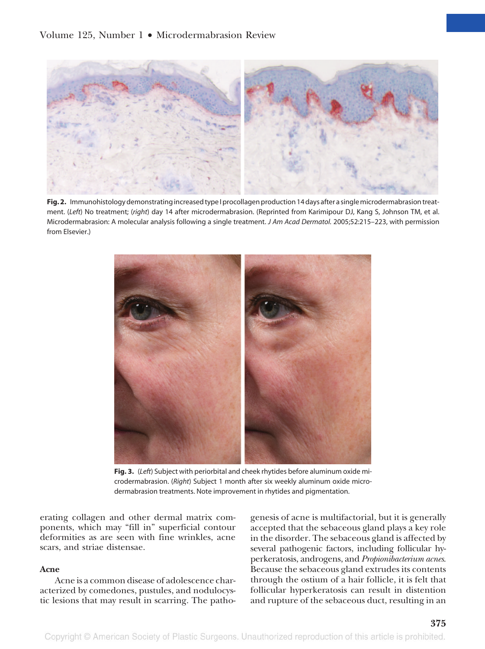

Fig. 2. Immunohistology demonstrating increased type I procollagen production 14 days after a single microdermabrasion treatment. (*Left*) No treatment; (*right*) day 14 after microdermabrasion. (Reprinted from Karimipour DJ, Kang S, Johnson TM, et al. Microdermabrasion: A molecular analysis following a single treatment. *J Am Acad Dermatol.* 2005;52:215–223, with permission from Elsevier.)



**Fig. 3.** (*Left*) Subject with periorbital and cheek rhytides before aluminum oxide microdermabrasion. (*Right*) Subject 1 month after six weekly aluminum oxide microdermabrasion treatments. Note improvement in rhytides and pigmentation.

erating collagen and other dermal matrix components, which may "fill in" superficial contour deformities as are seen with fine wrinkles, acne scars, and striae distensae.

#### **Acne**

Acne is a common disease of adolescence characterized by comedones, pustules, and nodulocystic lesions that may result in scarring. The pathogenesis of acne is multifactorial, but it is generally accepted that the sebaceous gland plays a key role in the disorder. The sebaceous gland is affected by several pathogenic factors, including follicular hyperkeratosis, androgens, and *Propionibacterium acnes*. Because the sebaceous gland extrudes its contents through the ostium of a hair follicle, it is felt that follicular hyperkeratosis can result in distention and rupture of the sebaceous duct, resulting in an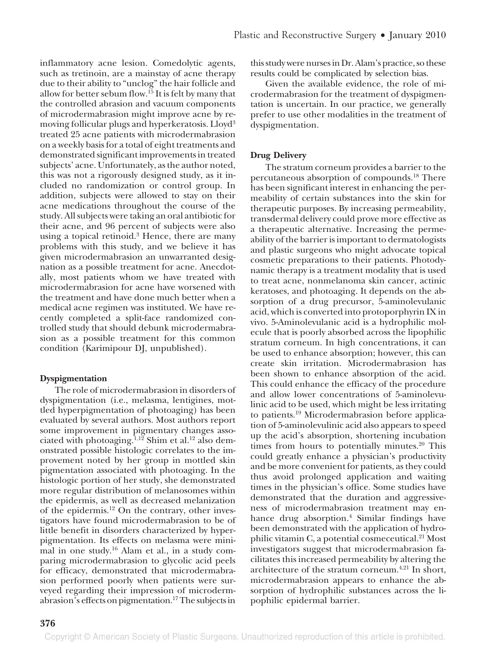inflammatory acne lesion. Comedolytic agents, such as tretinoin, are a mainstay of acne therapy due to their ability to "unclog" the hair follicle and allow for better sebum flow.15 It is felt by many that the controlled abrasion and vacuum components of microdermabrasion might improve acne by removing follicular plugs and hyperkeratosis. Lloyd3 treated 25 acne patients with microdermabrasion on a weekly basis for a total of eight treatments and demonstrated significant improvements in treated subjects' acne. Unfortunately, as the author noted, this was not a rigorously designed study, as it included no randomization or control group. In addition, subjects were allowed to stay on their acne medications throughout the course of the study. All subjects were taking an oral antibiotic for their acne, and 96 percent of subjects were also using a topical retinoid. $3$  Hence, there are many problems with this study, and we believe it has given microdermabrasion an unwarranted designation as a possible treatment for acne. Anecdotally, most patients whom we have treated with microdermabrasion for acne have worsened with the treatment and have done much better when a medical acne regimen was instituted. We have recently completed a split-face randomized controlled study that should debunk microdermabrasion as a possible treatment for this common condition (Karimipour DJ, unpublished).

#### **Dyspigmentation**

The role of microdermabrasion in disorders of dyspigmentation (i.e., melasma, lentigines, mottled hyperpigmentation of photoaging) has been evaluated by several authors. Most authors report some improvement in pigmentary changes associated with photoaging.<sup>1,12</sup> Shim et al.<sup>12</sup> also demonstrated possible histologic correlates to the improvement noted by her group in mottled skin pigmentation associated with photoaging. In the histologic portion of her study, she demonstrated more regular distribution of melanosomes within the epidermis, as well as decreased melanization of the epidermis.<sup>12</sup> On the contrary, other investigators have found microdermabrasion to be of little benefit in disorders characterized by hyperpigmentation. Its effects on melasma were minimal in one study.16 Alam et al., in a study comparing microdermabrasion to glycolic acid peels for efficacy, demonstrated that microdermabrasion performed poorly when patients were surveyed regarding their impression of microdermabrasion's effects on pigmentation.<sup>17</sup>The subjects in

this study were nurses in Dr. Alam's practice, so these results could be complicated by selection bias.

Given the available evidence, the role of microdermabrasion for the treatment of dyspigmentation is uncertain. In our practice, we generally prefer to use other modalities in the treatment of dyspigmentation.

# **Drug Delivery**

The stratum corneum provides a barrier to the percutaneous absorption of compounds.18 There has been significant interest in enhancing the permeability of certain substances into the skin for therapeutic purposes. By increasing permeability, transdermal delivery could prove more effective as a therapeutic alternative. Increasing the permeability of the barrier is important to dermatologists and plastic surgeons who might advocate topical cosmetic preparations to their patients. Photodynamic therapy is a treatment modality that is used to treat acne, nonmelanoma skin cancer, actinic keratoses, and photoaging. It depends on the absorption of a drug precursor, 5-aminolevulanic acid, which is converted into protoporphyrin IX in vivo. 5-Aminolevulanic acid is a hydrophilic molecule that is poorly absorbed across the lipophilic stratum corneum. In high concentrations, it can be used to enhance absorption; however, this can create skin irritation. Microdermabrasion has been shown to enhance absorption of the acid. This could enhance the efficacy of the procedure and allow lower concentrations of 5-aminolevulinic acid to be used, which might be less irritating to patients.19 Microdermabrasion before application of 5-aminolevulinic acid also appears to speed up the acid's absorption, shortening incubation times from hours to potentially minutes.<sup>20</sup> This could greatly enhance a physician's productivity and be more convenient for patients, as they could thus avoid prolonged application and waiting times in the physician's office. Some studies have demonstrated that the duration and aggressiveness of microdermabrasion treatment may enhance drug absorption.<sup>4</sup> Similar findings have been demonstrated with the application of hydrophilic vitamin C, a potential cosmeceutical.<sup>21</sup> Most investigators suggest that microdermabrasion facilitates this increased permeability by altering the architecture of the stratum corneum.4,21 In short, microdermabrasion appears to enhance the absorption of hydrophilic substances across the lipophilic epidermal barrier.